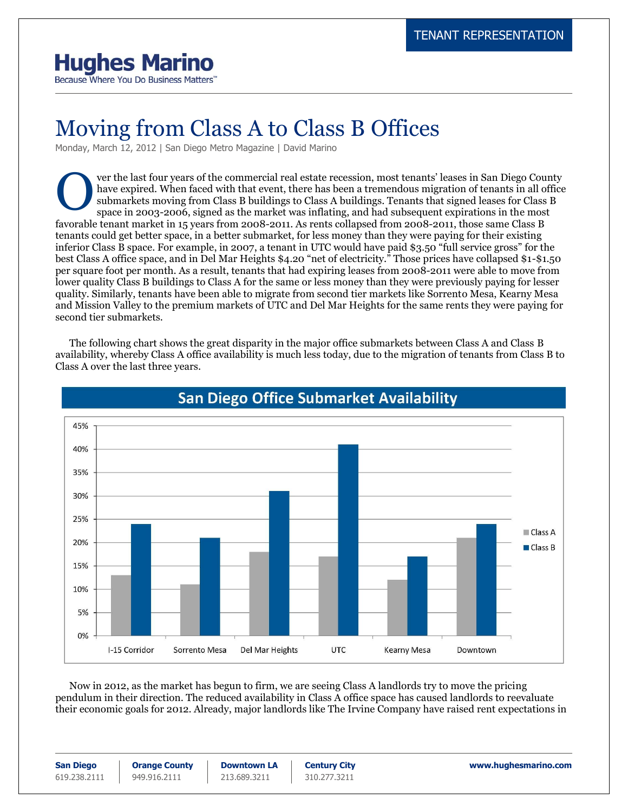## **Hughes Marino**

Because Where You Do Business Matters"

## Moving from Class A to Class B Offices

Monday, March 12, 2012 | San Diego Metro Magazine | David Marino

ver the last four years of the commercial real estate recession, most tenants' leases in San Diego County have expired. When faced with that event, there has been a tremendous migration of tenants in all office submarkets moving from Class B buildings to Class A buildings. Tenants that signed leases for Class B space in 2003-2006, signed as the market was inflating, and had subsequent expirations in the most favorable tenant market in 15 years from 2008-2011. As rents collapsed from 2008-2011, those same Class B tenants could get better space, in a better submarket, for less money than they were paying for their existing inferior Class B space. For example, in 2007, a tenant in UTC would have paid \$3.50 "full service gross" for the best Class A office space, and in Del Mar Heights \$4.20 "net of electricity." Those prices have collapsed \$1-\$1.50 per square foot per month. As a result, tenants that had expiring leases from 2008-2011 were able to move from lower quality Class B buildings to Class A for the same or less money than they were previously paying for lesser quality. Similarly, tenants have been able to migrate from second tier markets like Sorrento Mesa, Kearny Mesa and Mission Valley to the premium markets of UTC and Del Mar Heights for the same rents they were paying for second tier submarkets. O

The following chart shows the great disparity in the major office submarkets between Class A and Class B availability, whereby Class A office availability is much less today, due to the migration of tenants from Class B to Class A over the last three years.



## **San Diego Office Submarket Availability**

Now in 2012, as the market has begun to firm, we are seeing Class A landlords try to move the pricing pendulum in their direction. The reduced availability in Class A office space has caused landlords to reevaluate their economic goals for 2012. Already, major landlords like The Irvine Company have raised rent expectations in

**San Diego** 619.238.2111